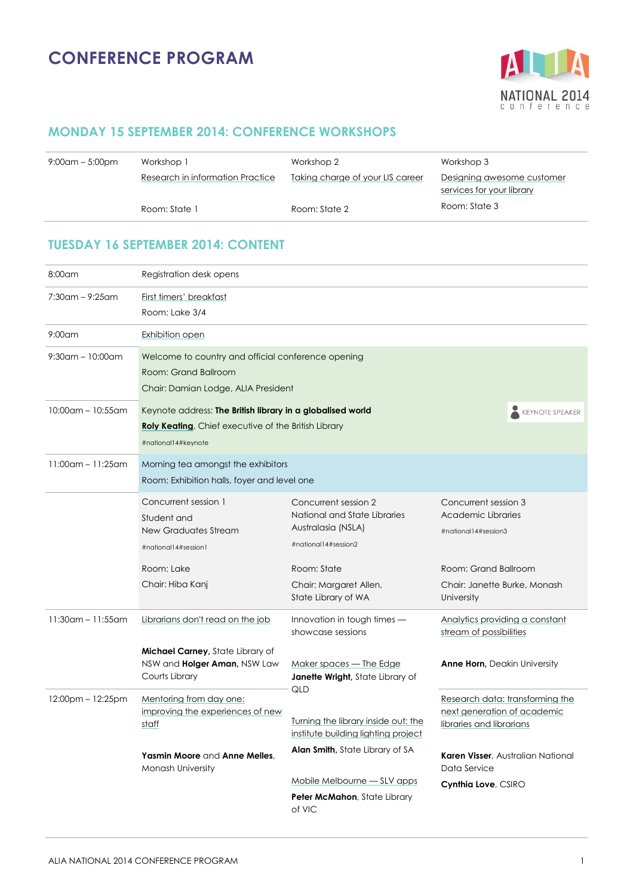

### **MONDAY 15 SEPTEMBER 2014: CONFERENCE WORKSHOPS**

| $9:00$ am – 5:00pm | Workshop 1                       | Workshop 2                       | Workshop 3                                              |
|--------------------|----------------------------------|----------------------------------|---------------------------------------------------------|
|                    | Research in information Practice | Taking charge of your LIS career | Designing awesome customer<br>services for your library |
|                    | Room: State 1                    | Room: State 2                    | Room: State 3                                           |

### **TUESDAY 16 SEPTEMBER 2014: CONTENT**

| 8:00am                  | Registration desk opens                                                                                                                                             |                                                                                                    |                                                                                            |  |
|-------------------------|---------------------------------------------------------------------------------------------------------------------------------------------------------------------|----------------------------------------------------------------------------------------------------|--------------------------------------------------------------------------------------------|--|
| $7:30$ am – 9:25am      | First timers' breakfast<br>Room: Lake 3/4                                                                                                                           |                                                                                                    |                                                                                            |  |
| $9:00$ am               | Exhibition open                                                                                                                                                     |                                                                                                    |                                                                                            |  |
| $9:30$ am - 10:00am     | Welcome to country and official conference opening<br>Room: Grand Ballroom<br>Chair: Damian Lodge, ALIA President                                                   |                                                                                                    |                                                                                            |  |
| $10:00$ am - $10:55$ am | Keynote address: The British library in a globalised world<br>KEYNOTE SPEAKER<br><b>Roly Keating, Chief executive of the British Library</b><br>#national14#keynote |                                                                                                    |                                                                                            |  |
| $11:00$ am - $11:25$ am | Morning tea amongst the exhibitors<br>Room: Exhibition halls, foyer and level one                                                                                   |                                                                                                    |                                                                                            |  |
|                         | Concurrent session 1<br>Student and<br>New Graduates Stream<br>#national14#session1                                                                                 | Concurrent session 2<br>National and State Libraries<br>Australasia (NSLA)<br>#national14#session2 | Concurrent session 3<br>Academic Libraries<br>#national14#session3                         |  |
|                         | Room: Lake<br>Chair: Hiba Kanj                                                                                                                                      | Room: State<br>Chair: Margaret Allen,<br>State Library of WA                                       | Room: Grand Ballroom<br>Chair: Janette Burke, Monash<br>University                         |  |
| $11:30$ am – 11:55am    | Librarians don't read on the job<br><b>Michael Carney, State Library of</b>                                                                                         | Innovation in tough times -<br>showcase sessions                                                   | Analytics providing a constant<br>stream of possibilities                                  |  |
|                         | NSW and <b>Holger Aman</b> , NSW Law<br>Courts Library                                                                                                              | Maker spaces – The Edge<br><b>Janette Wright</b> , State Library of<br>QLD                         | <b>Anne Horn, Deakin University</b>                                                        |  |
| $12:00$ pm – $12:25$ pm | Mentoring from day one:<br>improving the experiences of new<br>staff                                                                                                | Turning the library inside out: the<br>institute building lighting project                         | Research data: transforming the<br>next generation of academic<br>libraries and librarians |  |
|                         | Yasmin Moore and Anne Melles.<br><b>Monash University</b>                                                                                                           | <b>Alan Smith, State Library of SA</b><br>Mobile Melbourne - SLV apps                              | Karen Visser, Australian National<br>Data Service                                          |  |
|                         |                                                                                                                                                                     | Peter McMahon, State Library<br>of VIC                                                             | Cynthia Love, CSIRO                                                                        |  |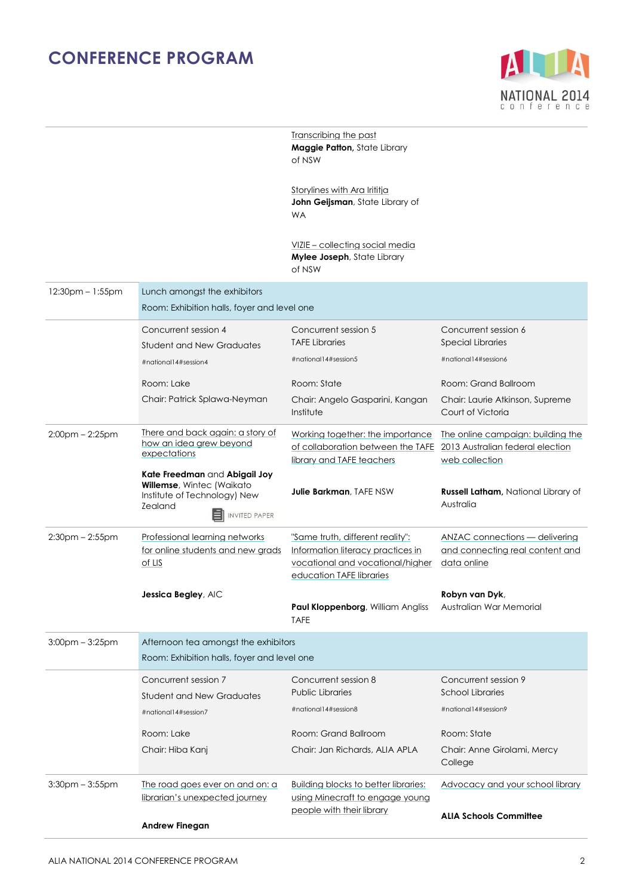

|                       |                                                                                                                               | Transcribing the past<br>Maggie Patton, State Library<br>of NSW                                                                       |                                                                                         |
|-----------------------|-------------------------------------------------------------------------------------------------------------------------------|---------------------------------------------------------------------------------------------------------------------------------------|-----------------------------------------------------------------------------------------|
|                       |                                                                                                                               | Storylines with Ara Irititia<br>John Geijsman, State Library of<br><b>WA</b>                                                          |                                                                                         |
|                       |                                                                                                                               | VIZIE – collecting social media<br>Mylee Joseph, State Library<br>of NSW                                                              |                                                                                         |
| $12:30pm - 1:55pm$    | Lunch amongst the exhibitors<br>Room: Exhibition halls, foyer and level one                                                   |                                                                                                                                       |                                                                                         |
|                       | Concurrent session 4<br>Student and New Graduates                                                                             | Concurrent session 5<br><b>TAFE Libraries</b>                                                                                         | Concurrent session 6<br><b>Special Libraries</b>                                        |
|                       | #national14#session4                                                                                                          | #national14#session5                                                                                                                  | #national14#session6                                                                    |
|                       | Room: Lake                                                                                                                    | Room: State                                                                                                                           | Room: Grand Ballroom                                                                    |
|                       | Chair: Patrick Splawa-Neyman                                                                                                  | Chair: Angelo Gasparini, Kangan<br>Institute                                                                                          | Chair: Laurie Atkinson, Supreme<br>Court of Victoria                                    |
| $2:00$ pm $- 2:25$ pm | There and back again: a story of<br>how an idea arew beyond<br>expectations                                                   | Working together: the importance<br>of collaboration between the TAFE<br>library and TAFE teachers                                    | The online campaign: building the<br>2013 Australian federal election<br>web collection |
|                       | Kate Freedman and Abigail Joy<br>Willemse, Wintec (Waikato<br>Institute of Technology) New<br>Zealand<br><b>INVITED PAPER</b> | <b>Julie Barkman, TAFE NSW</b>                                                                                                        | <b>Russell Latham</b> , National Library of<br>Australia                                |
| $2:30$ pm $- 2:55$ pm | Professional learning networks<br>for online students and new grads<br>of LIS                                                 | "Same truth, different reality":<br>Information literacy practices in<br>vocational and vocational/higher<br>education TAFE libraries | <b>ANZAC connections - delivering</b><br>and connecting real content and<br>data online |
|                       | Jessica Begley, AIC                                                                                                           | Paul Kloppenborg, William Angliss<br><b>TAFE</b>                                                                                      | Robyn van Dyk,<br>Australian War Memorial                                               |
| $3:00$ pm $-3:25$ pm  | Afternoon tea amongst the exhibitors                                                                                          |                                                                                                                                       |                                                                                         |
|                       | Room: Exhibition halls, foyer and level one                                                                                   |                                                                                                                                       |                                                                                         |
|                       | Concurrent session 7<br><b>Student and New Graduates</b>                                                                      | Concurrent session 8<br><b>Public Libraries</b>                                                                                       | Concurrent session 9<br><b>School Libraries</b>                                         |
|                       | #national14#session7                                                                                                          | #national14#session8                                                                                                                  | #national14#session9                                                                    |
|                       | Room: Lake                                                                                                                    | Room: Grand Ballroom                                                                                                                  | Room: State                                                                             |
|                       | Chair: Hiba Kanj                                                                                                              | Chair: Jan Richards, ALIA APLA                                                                                                        | Chair: Anne Girolami, Mercy<br>College                                                  |
| $3:30$ pm $-3:55$ pm  | The road goes ever on and on: a<br>librarian's unexpected journey                                                             | <b>Building blocks to better libraries:</b><br>using Minecraft to engage young<br>people with their library                           | Advocacy and your school library                                                        |
|                       | <b>Andrew Finegan</b>                                                                                                         |                                                                                                                                       | <b>ALIA Schools Committee</b>                                                           |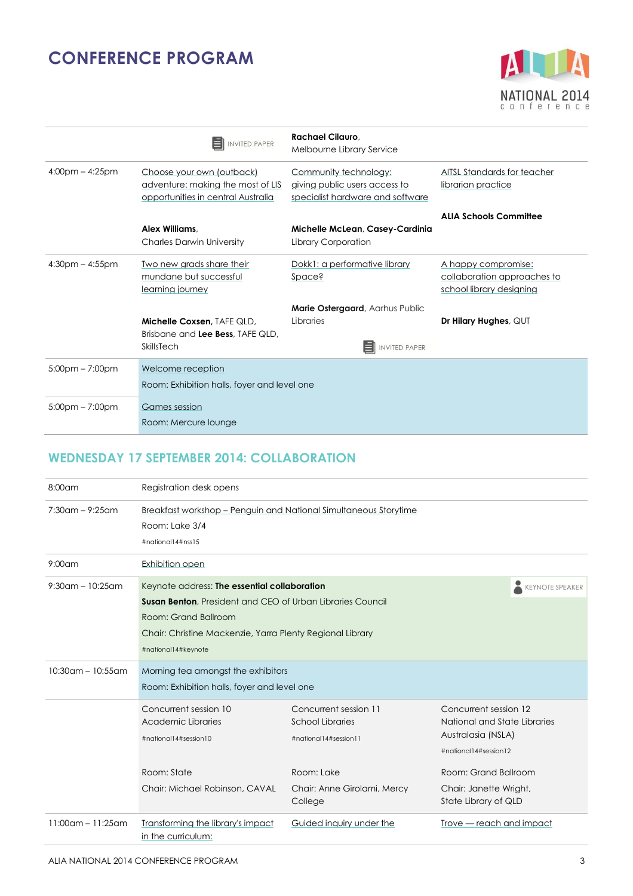

|                       | <b>INVITED PAPER</b>                                                                                 | <b>Rachael Cilauro.</b><br>Melbourne Library Service                                       |                                                                                |
|-----------------------|------------------------------------------------------------------------------------------------------|--------------------------------------------------------------------------------------------|--------------------------------------------------------------------------------|
| $4:00$ pm – $4:25$ pm | Choose your own (outback)<br>adventure: making the most of LIS<br>opportunities in central Australia | Community technology:<br>giving public users access to<br>specialist hardware and software | AITSL Standards for teacher<br>librarian practice                              |
|                       | Alex Williams.<br><b>Charles Darwin University</b>                                                   | Michelle McLean, Casey-Cardinia<br>Library Corporation                                     | <b>ALIA Schools Committee</b>                                                  |
| $4:30$ pm $- 4:55$ pm | Two new grads share their<br>mundane but successful<br>learning journey                              | Dokk1: a performative library<br>Space?                                                    | A happy compromise:<br>collaboration approaches to<br>school library designing |
|                       | <b>Michelle Coxsen. TAFE QLD.</b><br>Brisbane and Lee Bess, TAFE QLD,<br>SkillsTech                  | <b>Marie Ostergaard, Aarhus Public</b><br>Libraries<br><b>INVITED PAPER</b>                | Dr Hilary Hughes, QUT                                                          |
| $5:00$ pm – 7:00pm    | Welcome reception<br>Room: Exhibition halls, foyer and level one                                     |                                                                                            |                                                                                |
| $5:00$ pm – 7:00pm    | Games session<br>Room: Mercure lounge                                                                |                                                                                            |                                                                                |

#### **WEDNESDAY 17 SEPTEMBER 2014: COLLABORATION**

| $8:00$ am               | Registration desk opens                                                                                                                                                                                                                                 |                                                                                                                                   |                                                                                                                                                                                |  |
|-------------------------|---------------------------------------------------------------------------------------------------------------------------------------------------------------------------------------------------------------------------------------------------------|-----------------------------------------------------------------------------------------------------------------------------------|--------------------------------------------------------------------------------------------------------------------------------------------------------------------------------|--|
| $7:30$ am – 9:25am      | Breakfast workshop - Penguin and National Simultaneous Storytime<br>Room: Lake 3/4<br>#national14#nss15                                                                                                                                                 |                                                                                                                                   |                                                                                                                                                                                |  |
| $9:00$ am               | Exhibition open                                                                                                                                                                                                                                         |                                                                                                                                   |                                                                                                                                                                                |  |
| $9:30$ am – 10:25am     | Keynote address: The essential collaboration<br><b>KEYNOTE SPEAKER</b><br><b>Susan Benton, President and CEO of Urban Libraries Council</b><br>Room: Grand Ballroom<br>Chair: Christine Mackenzie, Yarra Plenty Regional Library<br>#national14#keynote |                                                                                                                                   |                                                                                                                                                                                |  |
| $10:30$ am – $10:55$ am | Morning tea amongst the exhibitors<br>Room: Exhibition halls, foyer and level one                                                                                                                                                                       |                                                                                                                                   |                                                                                                                                                                                |  |
|                         | Concurrent session 10<br>Academic Libraries<br>#national14#session10<br>Room: State<br>Chair: Michael Robinson, CAVAL                                                                                                                                   | Concurrent session 11<br><b>School Libraries</b><br>#national14#session11<br>Room: Lake<br>Chair: Anne Girolami, Mercy<br>College | Concurrent session 12<br>National and State Libraries<br>Australasia (NSLA)<br>#national14#session12<br>Room: Grand Ballroom<br>Chair: Janette Wright,<br>State Library of QLD |  |
| $11:00$ am – 11:25am    | Transforming the library's impact<br>in the curriculum:                                                                                                                                                                                                 | Guided inquiry under the                                                                                                          | Trove — reach and impact                                                                                                                                                       |  |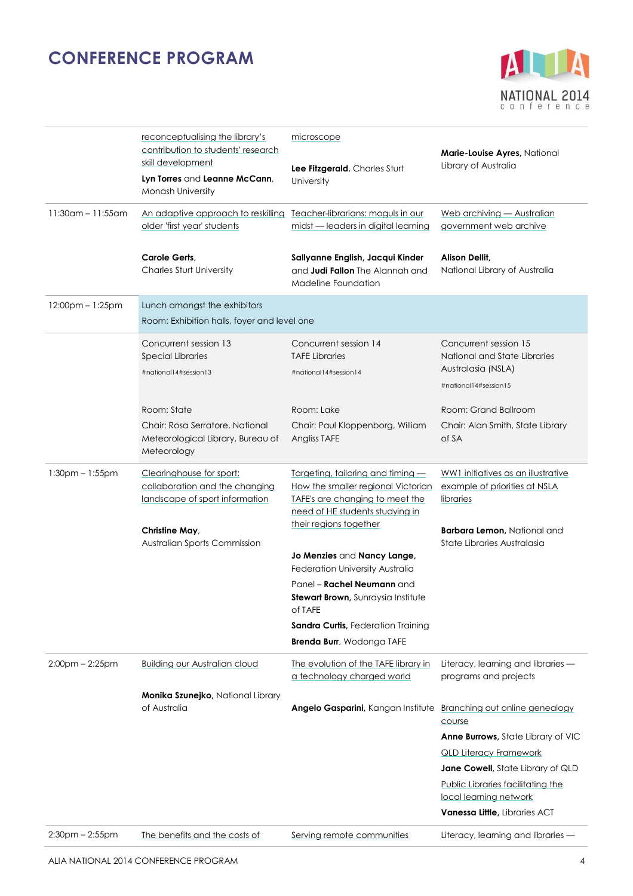

|                       | reconceptualising the library's<br>contribution to students' research<br>skill development<br>Lyn Torres and Leanne McCann,<br><b>Monash University</b> | microscope<br>Lee Fitzgerald, Charles Sturt<br>University                                                                                                               | Marie-Louise Ayres, National<br>Library of Australia                                                                                                                                                                                                 |
|-----------------------|---------------------------------------------------------------------------------------------------------------------------------------------------------|-------------------------------------------------------------------------------------------------------------------------------------------------------------------------|------------------------------------------------------------------------------------------------------------------------------------------------------------------------------------------------------------------------------------------------------|
| $11:30$ am - 11:55am  | An adaptive approach to reskilling<br>older 'first year' students                                                                                       | Teacher-librarians: moguls in our<br>midst - leaders in digital learning                                                                                                | Web archiving - Australian<br>government web archive                                                                                                                                                                                                 |
|                       | Carole Gerts.<br><b>Charles Sturt University</b>                                                                                                        | Sallyanne English, Jacqui Kinder<br>and <b>Judi Fallon</b> The Alannah and<br>Madeline Foundation                                                                       | Alison Dellit,<br>National Library of Australia                                                                                                                                                                                                      |
| 12:00pm - 1:25pm      | Lunch amongst the exhibitors<br>Room: Exhibition halls, foyer and level one                                                                             |                                                                                                                                                                         |                                                                                                                                                                                                                                                      |
|                       | Concurrent session 13<br><b>Special Libraries</b><br>#national14#session13                                                                              | Concurrent session 14<br><b>TAFE Libraries</b><br>#national14#session14                                                                                                 | Concurrent session 15<br>National and State Libraries<br>Australasia (NSLA)<br>#national14#session15                                                                                                                                                 |
|                       | Room: State<br>Chair: Rosa Serratore, National<br>Meteorological Library, Bureau of<br>Meteorology                                                      | Room: Lake<br>Chair: Paul Kloppenborg, William<br>Angliss TAFE                                                                                                          | Room: Grand Ballroom<br>Chair: Alan Smith, State Library<br>of SA                                                                                                                                                                                    |
| $1:30$ pm $-1:55$ pm  | Clearinghouse for sport:<br>collaboration and the changing<br>landscape of sport information<br>Christine May,<br>Australian Sports Commission          | Targeting, tailoring and timing -<br>How the smaller regional Victorian<br>TAFE's are changing to meet the<br>need of HE students studying in<br>their regions together | WW1 initiatives as an illustrative<br>example of priorities at NSLA<br>libraries<br><b>Barbara Lemon, National and</b><br>State Libraries Australasia                                                                                                |
|                       |                                                                                                                                                         | Jo Menzies and Nancy Lange,<br>Federation University Australia<br>Panel – <b>Rachel Neumann</b> and<br>Stewart Brown, Sunraysia Institute                               |                                                                                                                                                                                                                                                      |
|                       |                                                                                                                                                         | of TAFE<br><b>Sandra Curtis, Federation Training</b><br>Brenda Burr, Wodonga TAFE                                                                                       |                                                                                                                                                                                                                                                      |
| $2:00$ pm $- 2:25$ pm | <b>Building our Australian cloud</b>                                                                                                                    | The evolution of the TAFE library in<br>a technology charaed world                                                                                                      | Literacy, learning and libraries -<br>programs and projects                                                                                                                                                                                          |
|                       | Monika Szunejko, National Library<br>of Australia                                                                                                       | Angelo Gasparini, Kangan Institute                                                                                                                                      | Branching out online genealogy<br>course<br>Anne Burrows, State Library of VIC<br><b>QLD Literacy Framework</b><br>Jane Cowell, State Library of QLD<br>Public Libraries facilitating the<br>local learning network<br>Vanessa Little, Libraries ACT |
| $2:30$ pm $- 2:55$ pm | The benefits and the costs of                                                                                                                           | Serving remote communities                                                                                                                                              | Literacy, learning and libraries -                                                                                                                                                                                                                   |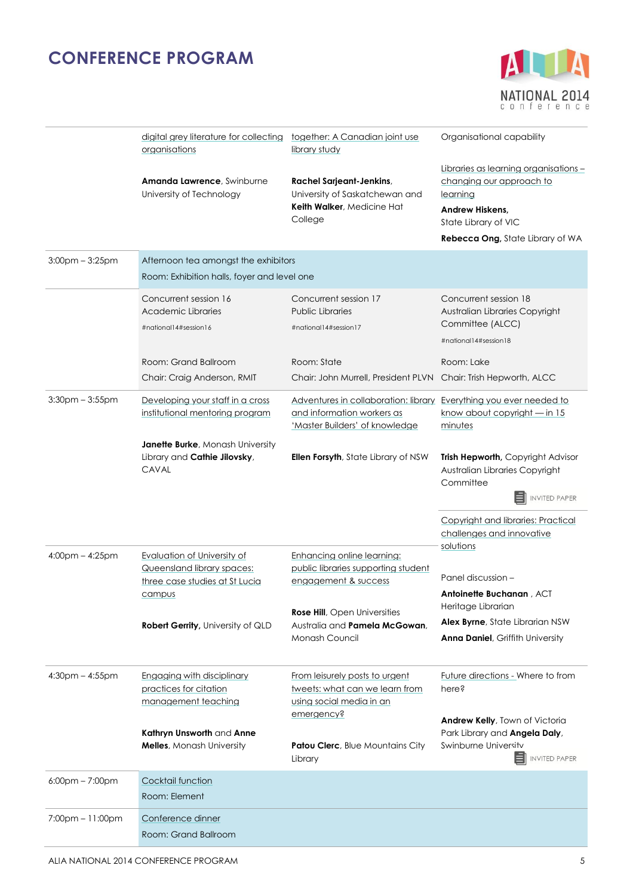

|                       | digital grey literature for collecting<br>organisations                                                      | together: A Canadian joint use<br>library study                                                                                    | Organisational capability                                                                                                                                    |
|-----------------------|--------------------------------------------------------------------------------------------------------------|------------------------------------------------------------------------------------------------------------------------------------|--------------------------------------------------------------------------------------------------------------------------------------------------------------|
|                       | Amanda Lawrence, Swinburne<br>University of Technology                                                       | <b>Rachel Sarjeant-Jenkins,</b><br>University of Saskatchewan and<br>Keith Walker, Medicine Hat<br>College                         | Libraries as learning organisations -<br>changing our approach to<br>learning<br>Andrew Hiskens,<br>State Library of VIC<br>Rebecca Ong, State Library of WA |
| $3:00$ pm $-3:25$ pm  | Afternoon tea amongst the exhibitors                                                                         |                                                                                                                                    |                                                                                                                                                              |
|                       | Room: Exhibition halls, foyer and level one                                                                  |                                                                                                                                    |                                                                                                                                                              |
|                       | Concurrent session 16<br>Academic Libraries<br>#national14#session16                                         | Concurrent session 17<br><b>Public Libraries</b><br>#national14#session17                                                          | Concurrent session 18<br>Australian Libraries Copyright<br>Committee (ALCC)<br>#national14#session18                                                         |
|                       | Room: Grand Ballroom                                                                                         | Room: State                                                                                                                        | Room: Lake                                                                                                                                                   |
|                       | Chair: Craig Anderson, RMIT                                                                                  | Chair: John Murrell, President PLVN                                                                                                | Chair: Trish Hepworth, ALCC                                                                                                                                  |
| $3:30$ pm $-3:55$ pm  | Developing your staff in a cross<br>institutional mentoring program                                          | Adventures in collaboration: library Everything you ever needed to<br>and information workers as<br>'Master Builders' of knowledge | know about copyright - in 15<br>minutes                                                                                                                      |
|                       | <b>Janette Burke, Monash University</b><br>Library and Cathie Jilovsky,<br><b>CAVAL</b>                      | <b>Ellen Forsyth</b> , State Library of NSW                                                                                        | Trish Hepworth, Copyright Advisor<br>Australian Libraries Copyright<br>Committee<br><b>INVITED PAPER</b>                                                     |
|                       |                                                                                                              |                                                                                                                                    | <b>Copyright and libraries: Practical</b><br>challenges and innovative<br>solutions                                                                          |
| $4:00$ pm – $4:25$ pm | <b>Evaluation of University of</b><br>Queensland library spaces:<br>three case studies at St Lucia<br>campus | <b>Enhancing online learning:</b><br>public libraries supporting student<br>engagement & success                                   | Panel discussion -<br>Antoinette Buchanan, ACT                                                                                                               |
|                       | <b>Robert Gerrity, University of QLD</b>                                                                     | <b>Rose Hill</b> , Open Universities<br>Australia and Pamela McGowan,<br>Monash Council                                            | Heritage Librarian<br>Alex Byrne, State Librarian NSW<br><b>Anna Daniel, Griffith University</b>                                                             |
| $4:30$ pm $- 4:55$ pm | Engaging with disciplinary<br>practices for citation<br>management teaching                                  | From leisurely posts to urgent<br>tweets: what can we learn from<br>using social media in an                                       | Future directions - Where to from<br>here?                                                                                                                   |
|                       | Kathryn Unsworth and Anne<br><b>Melles, Monash University</b>                                                | emergency?<br><b>Patou Clerc</b> , Blue Mountains City<br>Library                                                                  | Andrew Kelly, Town of Victoria<br>Park Library and Angela Daly,<br>Swinburne University<br><b>INVITED PAPER</b>                                              |
| $6:00$ pm $- 7:00$ pm | Cocktail function<br>Room: Element                                                                           |                                                                                                                                    |                                                                                                                                                              |
| $7:00$ pm $-11:00$ pm | Conference dinner<br>Room: Grand Ballroom                                                                    |                                                                                                                                    |                                                                                                                                                              |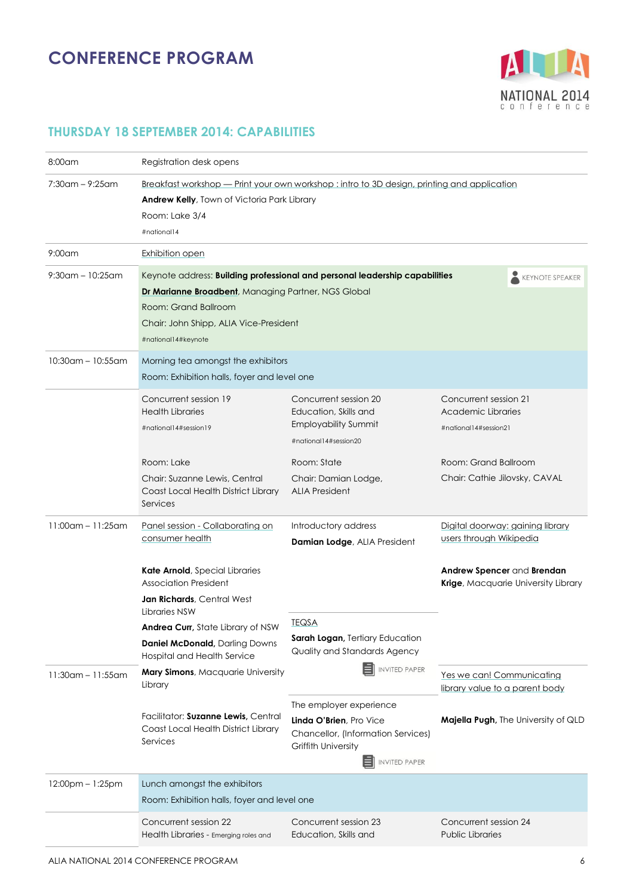

### **THURSDAY 18 SEPTEMBER 2014: CAPABILITIES**

| $8:00$ am               | Registration desk opens                                                                                                                                                     |                                                                                                                                               |                                                                                                                               |  |
|-------------------------|-----------------------------------------------------------------------------------------------------------------------------------------------------------------------------|-----------------------------------------------------------------------------------------------------------------------------------------------|-------------------------------------------------------------------------------------------------------------------------------|--|
| $7:30$ am – 9:25am      | Breakfast workshop — Print your own workshop : intro to 3D design, printing and application<br>Andrew Kelly, Town of Victoria Park Library<br>Room: Lake 3/4<br>#national14 |                                                                                                                                               |                                                                                                                               |  |
| $9:00$ am               | Exhibition open                                                                                                                                                             |                                                                                                                                               |                                                                                                                               |  |
| $9:30$ am – 10:25am     | Dr Marianne Broadbent, Managing Partner, NGS Global<br>Room: Grand Ballroom<br>Chair: John Shipp, ALIA Vice-President<br>#national14#keynote                                | Keynote address: Building professional and personal leadership capabilities                                                                   | <b>KEYNOTE SPEAKER</b>                                                                                                        |  |
| $10:30$ am - $10:55$ am | Morning tea amongst the exhibitors<br>Room: Exhibition halls, foyer and level one                                                                                           |                                                                                                                                               |                                                                                                                               |  |
|                         | Concurrent session 19<br><b>Health Libraries</b><br>#national14#session19<br>Room: Lake<br>Chair: Suzanne Lewis, Central                                                    | Concurrent session 20<br>Education, Skills and<br><b>Employability Summit</b><br>#national14#session20<br>Room: State<br>Chair: Damian Lodge, | Concurrent session 21<br>Academic Libraries<br>#national14#session21<br>Room: Grand Ballroom<br>Chair: Cathie Jilovsky, CAVAL |  |
| $11:00$ am - 11:25am    | Coast Local Health District Library<br>Services<br>Panel session - Collaborating on                                                                                         | <b>ALIA President</b><br>Introductory address                                                                                                 | Digital doorway: gaining library                                                                                              |  |
|                         | consumer health<br>Kate Arnold, Special Libraries<br><b>Association President</b><br><b>Jan Richards</b> , Central West<br>Libraries NSW                                    | Damian Lodge, ALIA President                                                                                                                  | users through Wikipedia<br>Andrew Spencer and Brendan<br>Krige, Macquarie University Library                                  |  |
|                         | Andrea Curr, State Library of NSW<br><b>Daniel McDonald, Darling Downs</b><br>Hospital and Health Service                                                                   | <b>TEQSA</b><br><b>Sarah Logan, Tertiary Education</b><br>Quality and Standards Agency<br><b>INVITED PAPER</b>                                |                                                                                                                               |  |
| $11:30$ am - 11:55am    | Mary Simons, Macquarie University<br>Library                                                                                                                                | The employer experience                                                                                                                       | Yes we can! Communicating<br>library value to a parent body                                                                   |  |
|                         | Facilitator: Suzanne Lewis, Central<br>Coast Local Health District Library<br>Services                                                                                      | Linda O'Brien, Pro Vice<br>Chancellor, (Information Services)<br><b>Griffith University</b><br>EI<br><b>INVITED PAPER</b>                     | <b>Majella Pugh, The University of QLD</b>                                                                                    |  |
| 12:00pm - 1:25pm        | Lunch amongst the exhibitors<br>Room: Exhibition halls, foyer and level one                                                                                                 |                                                                                                                                               |                                                                                                                               |  |
|                         | Concurrent session 22<br>Health Libraries - Emerging roles and                                                                                                              | Concurrent session 23<br>Education, Skills and                                                                                                | Concurrent session 24<br><b>Public Libraries</b>                                                                              |  |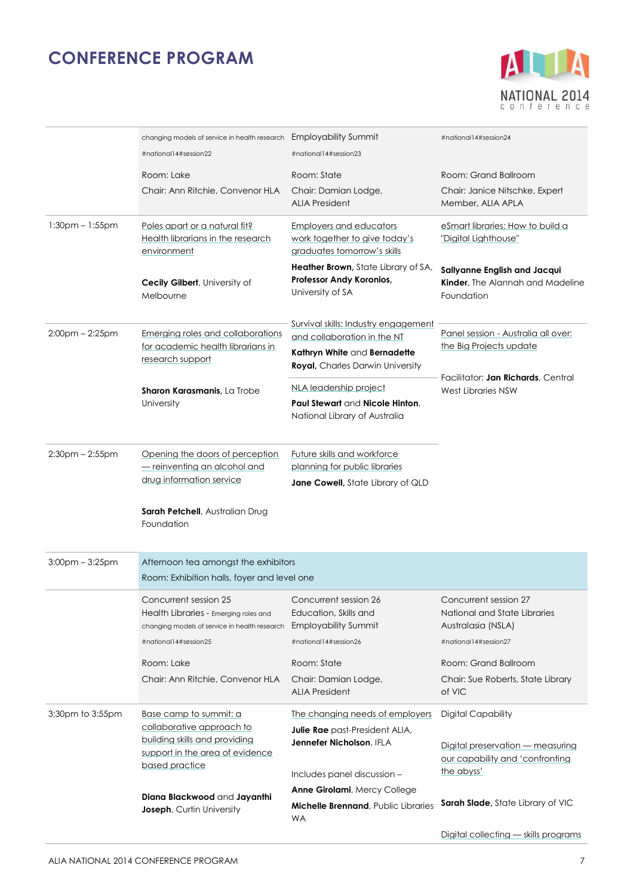

|                       | changing models of service in health research Employability Summit<br>#national14#session22 | #national14#session23                                                                                  | #national14#session24                                                          |
|-----------------------|---------------------------------------------------------------------------------------------|--------------------------------------------------------------------------------------------------------|--------------------------------------------------------------------------------|
|                       | Room: Lake                                                                                  | Room: State                                                                                            | Room: Grand Ballroom                                                           |
|                       | Chair: Ann Ritchie, Convenor HLA                                                            | Chair: Damian Lodge,<br><b>ALIA President</b>                                                          | Chair: Janice Nitschke, Expert<br>Member, ALIA APLA                            |
| $1:30pm - 1:55pm$     | Poles apart or a natural fit?<br>Health librarians in the research<br>environment           | <b>Employers and educators</b><br>work together to give today's<br>graduates tomorrow's skills         | eSmart libraries: How to build a<br>"Digital Lighthouse"                       |
|                       | <b>Cecily Gilbert, University of</b><br>Melbourne                                           | <b>Heather Brown</b> , State Library of SA,<br>Professor Andy Koronios,<br>University of SA            | Sallyanne English and Jacqui<br>Kinder, The Alannah and Madeline<br>Foundation |
|                       | Emerging roles and collaborations                                                           | Survival skills: Industry engagement                                                                   | Panel session - Australia all over:                                            |
| $2:00$ pm $- 2:25$ pm | for academic health librarians in<br>research support                                       | and collaboration in the NT<br>Kathryn White and Bernadette<br><b>Royal, Charles Darwin University</b> | the Big Projects update                                                        |
|                       | Sharon Karasmanis, La Trobe                                                                 | NLA leadership project                                                                                 | Facilitator: Jan Richards, Central<br>West Libraries NSW                       |
|                       | University                                                                                  | Paul Stewart and Nicole Hinton,                                                                        |                                                                                |
|                       |                                                                                             | National Library of Australia                                                                          |                                                                                |
| $2:30$ pm $- 2:55$ pm | Opening the doors of perception                                                             | Future skills and workforce                                                                            |                                                                                |
|                       | - reinventing an alcohol and                                                                | planning for public libraries                                                                          |                                                                                |
|                       | drug information service                                                                    | Jane Cowell, State Library of QLD                                                                      |                                                                                |
|                       | Sarah Petchell, Australian Drug<br>Foundation                                               |                                                                                                        |                                                                                |
| $3:00$ pm $-3:25$ pm  | Afternoon tea amongst the exhibitors<br>Room: Exhibition halls, foyer and level one         |                                                                                                        |                                                                                |
|                       | Concurrent session 25                                                                       | Concurrent session 26                                                                                  | Concurrent session 27                                                          |
|                       | Health Libraries - Emerging roles and                                                       | Education, Skills and                                                                                  | National and State Libraries                                                   |
|                       | changing models of service in health research<br>#national14#session25                      | Employability Summit<br>#national14#session26                                                          | Australasia (NSLA)<br>#national14#session27                                    |
|                       | Room: Lake                                                                                  | Room: State                                                                                            | Room: Grand Ballroom                                                           |
|                       | Chair: Ann Ritchie, Convenor HLA                                                            | Chair: Damian Lodge,                                                                                   | Chair: Sue Roberts, State Library                                              |
|                       |                                                                                             | <b>ALIA President</b>                                                                                  | of VIC                                                                         |
| 3:30pm to 3:55pm      | Base camp to summit: a<br>collaborative approach to                                         | The changing needs of employers                                                                        | <b>Digital Capability</b>                                                      |
|                       | building skills and providing                                                               | Julie Rae past-President ALIA,<br>Jennefer Nicholson, IFLA                                             | Digital preservation - measuring                                               |
|                       | support in the area of evidence<br>based practice                                           |                                                                                                        | our capability and 'confronting                                                |
|                       |                                                                                             | Includes panel discussion -                                                                            | the abyss'                                                                     |
|                       | Diana Blackwood and Jayanthi                                                                | Anne Girolami, Mercy College<br>Michelle Brennand, Public Libraries                                    | <b>Sarah Slade, State Library of VIC</b>                                       |
|                       | Joseph, Curtin University                                                                   | <b>WA</b>                                                                                              |                                                                                |
|                       |                                                                                             |                                                                                                        | Digital collecting - skills programs                                           |